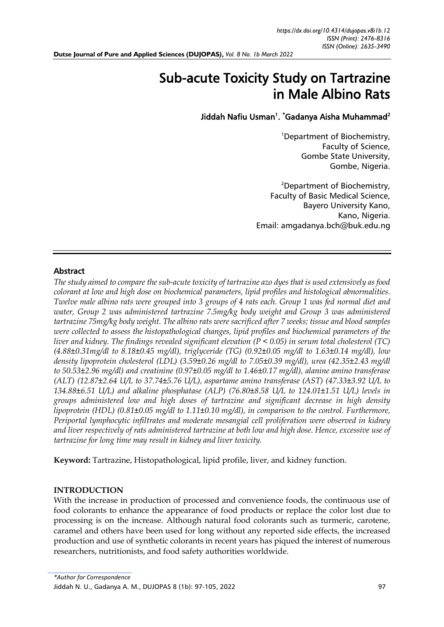# Sub-acute Toxicity Study on Tartrazine in Male Albino Rats

# Jiddah Nafiu Usman<sup>1</sup>. "Gadanya Aisha Muhammad<sup>2</sup>

<sup>1</sup>Department of Biochemistry, Faculty of Science, Gombe State University, Gombe, Nigeria.

<sup>2</sup>Department of Biochemistry, Faculty of Basic Medical Science, Bayero University Kano, Kano, Nigeria. Email: [amgadanya.bch@buk.edu.ng](mailto:amgadanya.bch@buk.edu.ng)

# Abstract

*The study aimed to compare the sub-acute toxicity of tartrazine azo dyes that is used extensively as food colorant at low and high dose on biochemical parameters, lipid profiles and histological abnormalities. Twelve male albino rats were grouped into 3 groups of 4 rats each. Group 1 was fed normal diet and water, Group 2 was administered tartrazine 7.5mg/kg body weight and Group 3 was administered tartrazine 75mg/kg body weight. The albino rats were sacrificed after 7 weeks; tissue and blood samples were collected to assess the histopathological changes, lipid profiles and biochemical parameters of the liver and kidney. The findings revealed significant elevation (P < 0.05) in serum total cholesterol (TC) (4.88±0.31mg/dl to 8.18±0.45 mg/dl), triglyceride (TG) (0.92±0.05 mg/dl to 1.63±0.14 mg/dl), low density lipoprotein cholesterol (LDL) (3.59±0.26 mg/dl to 7.05±0.39 mg/dl), urea (42.35±2.43 mg/dl to 50.53±2.96 mg/dl) and creatinine (0.97±0.05 mg/dl to 1.46±0.17 mg/dl), alanine amino transferase (ALT) (12.87±2.64 U/L to 37.74±5.76 U/L), aspartame amino transferase (AST) (47.33±3.92 U/L to 134.88±6.51 U/L) and alkaline phosphatase (ALP) (76.80±8.58 U/L to 124.01±1.51 U/L) levels in groups administered low and high doses of tartrazine and significant decrease in high density lipoprotein (HDL) (0.81±0.05 mg/dl to 1.11±0.10 mg/dl), in comparison to the control. Furthermore, Periportal lymphocytic infiltrates and moderate mesangial cell proliferation were observed in kidney and liver respectively of rats administered tartrazine at both low and high dose. Hence, excessive use of tartrazine for long time may result in kidney and liver toxicity.* 

**Keyword:** Tartrazine, Histopathological, lipid profile, liver, and kidney function.

# **INTRODUCTION**

With the increase in production of processed and convenience foods, the continuous use of food colorants to enhance the appearance of food products or replace the color lost due to processing is on the increase. Although natural food colorants such as turmeric, carotene, caramel and others have been used for long without any reported side effects, the increased production and use of synthetic colorants in recent years has piqued the interest of numerous researchers, nutritionists, and food safety authorities worldwide.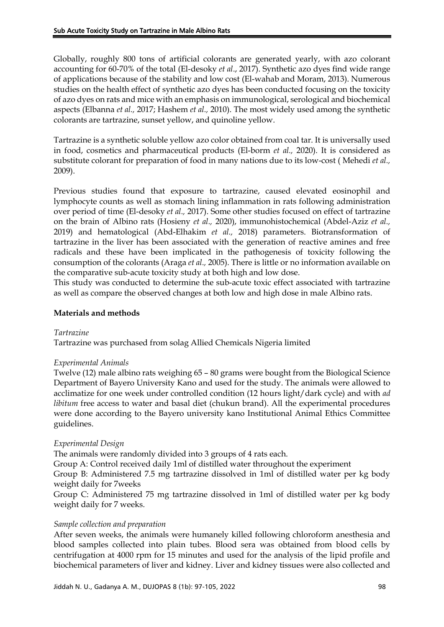Globally, roughly 800 tons of artificial colorants are generated yearly, with azo colorant accounting for 60-70% of the total (El-desoky *et al*., 2017). Synthetic azo dyes find wide range of applications because of the stability and low cost (El-wahab and Moram, 2013). Numerous studies on the health effect of synthetic azo dyes has been conducted focusing on the toxicity of azo dyes on rats and mice with an emphasis on immunological, serological and biochemical aspects (Elbanna *et al.,* 2017; Hashem *et al.,* 2010). The most widely used among the synthetic colorants are tartrazine, sunset yellow, and quinoline yellow.

Tartrazine is a synthetic soluble yellow azo color obtained from coal tar. It is universally used in food, cosmetics and pharmaceutical products (El-borm *et al.,* 2020). It is considered as substitute colorant for preparation of food in many nations due to its low-cost ( Mehedi *et al.,*  2009).

Previous studies found that exposure to tartrazine, caused elevated eosinophil and lymphocyte counts as well as stomach lining inflammation in rats following administration over period of time (El-desoky *et al.,* 2017). Some other studies focused on effect of tartrazine on the brain of Albino rats (Hosieny *et al.,* 2020), immunohistochemical (Abdel-Aziz *et al.,* 2019) and hematological (Abd-Elhakim *et al.,* 2018) parameters. Biotransformation of tartrazine in the liver has been associated with the generation of reactive amines and free radicals and these have been implicated in the pathogenesis of toxicity following the consumption of the colorants (Araga *et al.,* 2005). There is little or no information available on the comparative sub-acute toxicity study at both high and low dose.

This study was conducted to determine the sub-acute toxic effect associated with tartrazine as well as compare the observed changes at both low and high dose in male Albino rats.

# **Materials and methods**

## *Tartrazine*

Tartrazine was purchased from solag Allied Chemicals Nigeria limited

## *Experimental Animals*

Twelve (12) male albino rats weighing 65 – 80 grams were bought from the Biological Science Department of Bayero University Kano and used for the study. The animals were allowed to acclimatize for one week under controlled condition (12 hours light/dark cycle) and with *ad libitum* free access to water and basal diet (chukun brand). All the experimental procedures were done according to the Bayero university kano Institutional Animal Ethics Committee guidelines.

# *Experimental Design*

The animals were randomly divided into 3 groups of 4 rats each.

Group A: Control received daily 1ml of distilled water throughout the experiment

Group B: Administered 7.5 mg tartrazine dissolved in 1ml of distilled water per kg body weight daily for 7weeks

Group C: Administered 75 mg tartrazine dissolved in 1ml of distilled water per kg body weight daily for 7 weeks.

## *Sample collection and preparation*

After seven weeks, the animals were humanely killed following chloroform anesthesia and blood samples collected into plain tubes. Blood sera was obtained from blood cells by centrifugation at 4000 rpm for 15 minutes and used for the analysis of the lipid profile and biochemical parameters of liver and kidney. Liver and kidney tissues were also collected and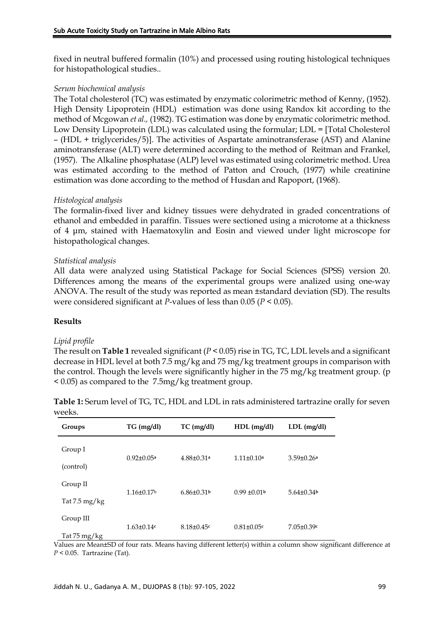fixed in neutral buffered formalin (10%) and processed using routing histological techniques for histopathological studies..

# *Serum biochemical analysis*

The Total cholesterol (TC) was estimated by enzymatic colorimetric method of Kenny, (1952). High Density Lipoprotein (HDL) estimation was done using Randox kit according to the method of Mcgowan *et al.,* (1982). TG estimation was done by enzymatic colorimetric method. Low Density Lipoprotein (LDL) was calculated using the formular; LDL = [Total Cholesterol – (HDL + triglycerides/5)]. The activities of Aspartate aminotransferase (AST) and Alanine aminotransferase (ALT) were determined according to the method of Reitman and Frankel, (1957). The Alkaline phosphatase (ALP) level was estimated using colorimetric method. Urea was estimated according to the method of Patton and Crouch, (1977) while creatinine estimation was done according to the method of Husdan and Rapoport, (1968).

# *Histological analysis*

The formalin-fixed liver and kidney tissues were dehydrated in graded concentrations of ethanol and embedded in paraffin. Tissues were sectioned using a microtome at a thickness of 4 μm, stained with Haematoxylin and Eosin and viewed under light microscope for histopathological changes.

# *Statistical analysis*

All data were analyzed using Statistical Package for Social Sciences (SPSS) version 20. Differences among the means of the experimental groups were analized using one-way ANOVA. The result of the study was reported as mean ±standard deviation (SD). The results were considered significant at *P*-values of less than 0.05 (*P* < 0.05).

## **Results**

## *Lipid profile*

The result on **Table 1** revealed significant (*P* < 0.05) rise in TG, TC, LDL levels and a significant decrease in HDL level at both 7.5 mg/kg and 75 mg/kg treatment groups in comparison with the control. Though the levels were significantly higher in the 75 mg/kg treatment group. (p < 0.05) as compared to the 7.5mg/kg treatment group.

| wuund.          |                              |                              |                   |                   |  |  |
|-----------------|------------------------------|------------------------------|-------------------|-------------------|--|--|
| Groups          | $TG$ (mg/dl)                 | $TC$ (mg/dl)                 | HDL (mg/dl)       | $LDL$ (mg/dl)     |  |  |
| Group I         |                              |                              |                   |                   |  |  |
| (control)       | $0.92 \pm 0.05$ <sup>a</sup> | $4.88 \pm 0.31$ <sup>a</sup> | $1.11 \pm 0.10^a$ | $3.59 \pm 0.26a$  |  |  |
| Group II        | $1.16 \pm 0.17$              | $6.86 \pm 0.31$              | $0.99 \pm 0.01$   | $5.64\pm0.34b$    |  |  |
| Tat 7.5 $mg/kg$ |                              |                              |                   |                   |  |  |
| Group III       | $1.63 \pm 0.14$ c            | $8.18 \pm 0.45$ c            | $0.81 \pm 0.05$ c | $7.05 \pm 0.39$ c |  |  |
| Tat 75 mg/kg    |                              |                              |                   |                   |  |  |

**Table 1:** Serum level of TG, TC, HDL and LDL in rats administered tartrazine orally for seven wooks

Values are Mean±SD of four rats. Means having different letter(s) within a column show significant difference at *P* < 0.05. Tartrazine (Tat).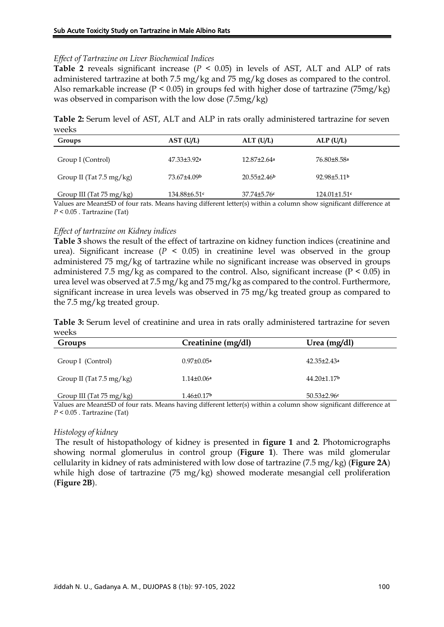## *Effect of Tartrazine on Liver Biochemical Indices*

**Table 2** reveals significant increase ( $P < 0.05$ ) in levels of AST, ALT and ALP of rats administered tartrazine at both 7.5 mg/kg and 75 mg/kg doses as compared to the control. Also remarkable increase ( $P < 0.05$ ) in groups fed with higher dose of tartrazine ( $75mg/kg$ ) was observed in comparison with the low dose (7.5mg/kg)

**Table 2:** Serum level of AST, ALT and ALP in rats orally administered tartrazine for seven weeks

| Groups                              | AST (U/L)                     | ALT (U/L)                     | ALP(U/L)                |
|-------------------------------------|-------------------------------|-------------------------------|-------------------------|
| Group I (Control)                   | $47.33 \pm 3.92$ <sup>a</sup> | $12.87 \pm 2.64$ <sup>a</sup> | 76.80±8.58 <sup>a</sup> |
| Group II (Tat $7.5 \text{ mg/kg}$ ) | 73.67±4.09b                   | $20.55\pm2.46b$               | $92.98 \pm 5.11$        |
| Group III (Tat $75 \text{ mg/kg}$ ) | $134.88 \pm 6.51$ c           | $37.74 \pm 5.76$ c            | $124.01 \pm 1.51$ c     |

Values are Mean±SD of four rats. Means having different letter(s) within a column show significant difference at *P* < 0.05 . Tartrazine (Tat)

# *Effect of tartrazine on Kidney indices*

**Table 3** shows the result of the effect of tartrazine on kidney function indices (creatinine and urea). Significant increase  $(P \le 0.05)$  in creatinine level was observed in the group administered 75 mg/kg of tartrazine while no significant increase was observed in groups administered 7.5 mg/kg as compared to the control. Also, significant increase ( $P < 0.05$ ) in urea level was observed at 7.5 mg/kg and 75 mg/kg as compared to the control. Furthermore, significant increase in urea levels was observed in 75 mg/kg treated group as compared to the 7.5 mg/kg treated group.

**Table 3:** Serum level of creatinine and urea in rats orally administered tartrazine for seven weeks

| Groups                                                                                                                                                                                                                                                                                                                                                                                                        | Creatinine (mg/dl)                                       | Urea $(mg/dl)$                                              |  |
|---------------------------------------------------------------------------------------------------------------------------------------------------------------------------------------------------------------------------------------------------------------------------------------------------------------------------------------------------------------------------------------------------------------|----------------------------------------------------------|-------------------------------------------------------------|--|
| Group I (Control)                                                                                                                                                                                                                                                                                                                                                                                             | $0.97 \pm 0.05a$                                         | $42.35 \pm 2.43a$                                           |  |
| Group II (Tat $7.5 \text{ mg/kg}$ )                                                                                                                                                                                                                                                                                                                                                                           | $1.14 \pm 0.06a$                                         | $44.20 \pm 1.17$                                            |  |
| Group III (Tat 75 mg/kg)<br>$\mathbf{v}$ $\mathbf{v}$ $\mathbf{v}$<br>$\mathbf{r}$ $\mathbf{r}$ $\mathbf{r}$ $\mathbf{r}$ $\mathbf{r}$ $\mathbf{r}$ $\mathbf{r}$ $\mathbf{r}$ $\mathbf{r}$ $\mathbf{r}$ $\mathbf{r}$ $\mathbf{r}$ $\mathbf{r}$ $\mathbf{r}$ $\mathbf{r}$ $\mathbf{r}$ $\mathbf{r}$ $\mathbf{r}$ $\mathbf{r}$ $\mathbf{r}$ $\mathbf{r}$ $\mathbf{r}$ $\mathbf{r}$ $\mathbf{r}$ $\mathbf{$<br>. | $1.46 \pm 0.17$<br>$\mathbf{1}$ $\mathbf{1}$<br>$\cdots$ | $50.53 \pm 2.96c$<br>$\sim$ $\sim$ $\sim$<br>$\cdot$ $\sim$ |  |

Values are Mean±SD of four rats. Means having different letter(s) within a column show significant difference at *P* < 0.05 . Tartrazine (Tat)

## *Histology of kidney*

The result of histopathology of kidney is presented in **figure 1** and **2**. Photomicrographs showing normal glomerulus in control group (**Figure 1**). There was mild glomerular cellularity in kidney of rats administered with low dose of tartrazine (7.5 mg/kg) (**Figure 2A**) while high dose of tartrazine (75 mg/kg) showed moderate mesangial cell proliferation (**Figure 2B**).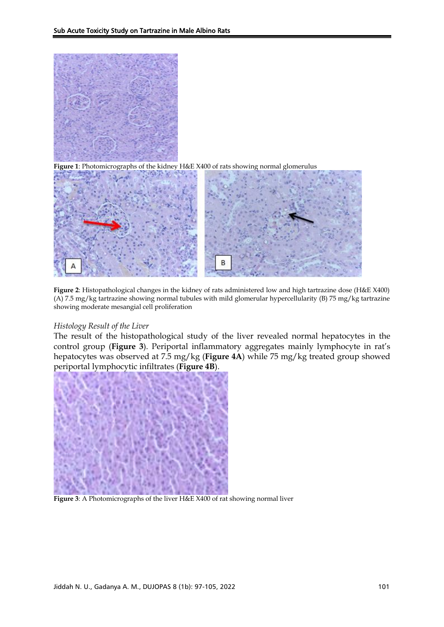

**Figure 1**: Photomicrographs of the kidney H&E X400 of rats showing normal glomerulus



**Figure 2**: Histopathological changes in the kidney of rats administered low and high tartrazine dose (H&E X400) (A) 7.5 mg/kg tartrazine showing normal tubules with mild glomerular hypercellularity (B) 75 mg/kg tartrazine showing moderate mesangial cell proliferation

## *Histology Result of the Liver*

The result of the histopathological study of the liver revealed normal hepatocytes in the control group (**Figure 3**). Periportal inflammatory aggregates mainly lymphocyte in rat's hepatocytes was observed at 7.5 mg/kg (**Figure 4A**) while 75 mg/kg treated group showed periportal lymphocytic infiltrates (**Figure 4B**).



**Figure 3**: A Photomicrographs of the liver H&E X400 of rat showing normal liver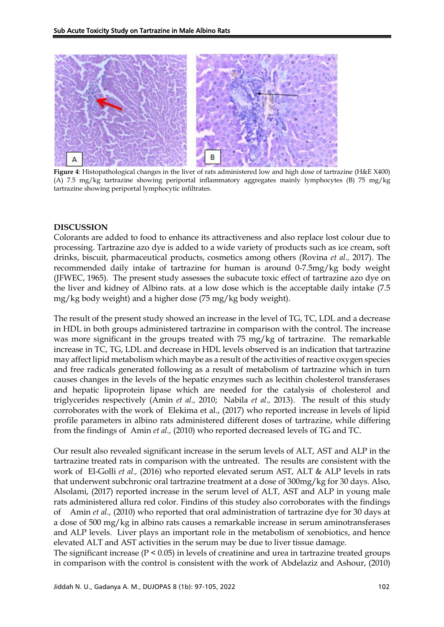

**Figure 4**: Histopathological changes in the liver of rats administered low and high dose of tartrazine (H&E X400) (A) 7.5 mg/kg tartrazine showing periportal inflammatory aggregates mainly lymphocytes (B) 75 mg/kg tartrazine showing periportal lymphocytic infiltrates.

#### **DISCUSSION**

Colorants are added to food to enhance its attractiveness and also replace lost colour due to processing. Tartrazine azo dye is added to a wide variety of products such as ice cream, soft drinks, biscuit, pharmaceutical products, cosmetics among others (Rovina *et al.,* 2017). The recommended daily intake of tartrazine for human is around 0-7.5mg/kg body weight (JFWEC, 1965). The present study assesses the subacute toxic effect of tartrazine azo dye on the liver and kidney of Albino rats. at a low dose which is the acceptable daily intake (7.5 mg/kg body weight) and a higher dose (75 mg/kg body weight).

The result of the present study showed an increase in the level of TG, TC, LDL and a decrease in HDL in both groups administered tartrazine in comparison with the control. The increase was more significant in the groups treated with 75 mg/kg of tartrazine. The remarkable increase in TC, TG, LDL and decrease in HDL levels observed is an indication that tartrazine may affect lipid metabolism which maybe as a result of the activities of reactive oxygen species and free radicals generated following as a result of metabolism of tartrazine which in turn causes changes in the levels of the hepatic enzymes such as lecithin cholesterol transferases and hepatic lipoprotein lipase which are needed for the catalysis of cholesterol and triglycerides respectively (Amin *et al.,* 2010; Nabila *et al.,* 2013). The result of this study corroborates with the work of Elekima et al., (2017) who reported increase in levels of lipid profile parameters in albino rats administered different doses of tartrazine, while differing from the findings of Amin *et al.,* (2010) who reported decreased levels of TG and TC.

Our result also revealed significant increase in the serum levels of ALT, AST and ALP in the tartrazine treated rats in comparison with the untreated. The results are consistent with the work of El-Golli *et al.,* (2016) who reported elevated serum AST, ALT & ALP levels in rats that underwent subchronic oral tartrazine treatment at a dose of 300mg/kg for 30 days. Also, Alsolami, (2017) reported increase in the serum level of ALT, AST and ALP in young male rats administered allura red color. Findins of this studey also corroborates with the findings of Amin *et al.,* (2010) who reported that oral administration of tartrazine dye for 30 days at a dose of 500 mg/kg in albino rats causes a remarkable increase in serum aminotransferases and ALP levels. Liver plays an important role in the metabolism of xenobiotics, and hence elevated ALT and AST activities in the serum may be due to liver tissue damage.

The significant increase ( $P < 0.05$ ) in levels of creatinine and urea in tartrazine treated groups in comparison with the control is consistent with the work of Abdelaziz and Ashour, (2010)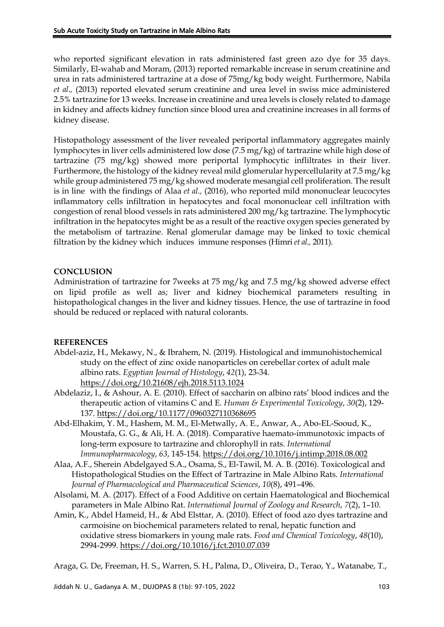who reported significant elevation in rats administered fast green azo dye for 35 days. Similarly, El-wahab and Moram, (2013) reported remarkable increase in serum creatinine and urea in rats administered tartrazine at a dose of 75mg/kg body weight. Furthermore, Nabila *et al.,* (2013) reported elevated serum creatinine and urea level in swiss mice administered 2.5% tartrazine for 13 weeks. Increase in creatinine and urea levels is closely related to damage in kidney and affects kidney function since blood urea and creatinine increases in all forms of kidney disease.

Histopathology assessment of the liver revealed periportal inflammatory aggregates mainly lymphocytes in liver cells administered low dose (7.5 mg/kg) of tartrazine while high dose of tartrazine (75 mg/kg) showed more periportal lymphocytic infliltrates in their liver. Furthermore, the histology of the kidney reveal mild glomerular hypercellularity at 7.5 mg/kg while group administered 75 mg/kg showed moderate mesangial cell proliferation. The result is in line with the findings of Alaa *et al.,* (2016), who reported mild mononuclear leucocytes inflammatory cells infiltration in hepatocytes and focal mononuclear cell infiltration with congestion of renal blood vessels in rats administered 200 mg/kg tartrazine. The lymphocytic infiltration in the hepatocytes might be as a result of the reactive oxygen species generated by the metabolism of tartrazine. Renal glomerular damage may be linked to toxic chemical filtration by the kidney which induces immune responses (Himri *et al.,* 2011).

# **CONCLUSION**

Administration of tartrazine for 7weeks at 75 mg/kg and 7.5 mg/kg showed adverse effect on lipid profile as well as; liver and kidney biochemical parameters resulting in histopathological changes in the liver and kidney tissues. Hence, the use of tartrazine in food should be reduced or replaced with natural colorants.

## **REFERENCES**

- Abdel-aziz, H., Mekawy, N., & Ibrahem, N. (2019). Histological and immunohistochemical study on the effect of zinc oxide nanoparticles on cerebellar cortex of adult male albino rats. *Egyptian Journal of Histology*, *42*(1), 23-34. <https://doi.org/10.21608/ejh.2018.5113.1024>
- Abdelaziz, I., & Ashour, A. E. (2010). Effect of saccharin on albino rats' blood indices and the therapeutic action of vitamins C and E. *Human & Experimental Toxicology*, *30*(2), 129- 137.<https://doi.org/10.1177/0960327110368695>
- Abd-Elhakim, Y. M., Hashem, M. M., El-Metwally, A. E., Anwar, A., Abo-EL-Sooud, K., Moustafa, G. G., & Ali, H. A. (2018). Comparative haemato-immunotoxic impacts of long-term exposure to tartrazine and chlorophyll in rats. *International Immunopharmacology*, *63*, 145-154.<https://doi.org/10.1016/j.intimp.2018.08.002>
- Alaa, A.F., Sherein Abdelgayed S.A., Osama, S., El-Tawil, M. A. B. (2016). Toxicological and Histopathological Studies on the Effect of Tartrazine in Male Albino Rats. *International Journal of Pharmacological and Pharmaceutical Sciences*, *10*(8), 491–496.
- Alsolami, M. A. (2017). Effect of a Food Additive on certain Haematological and Biochemical parameters in Male Albino Rat. *International Journal of Zoology and Research*, *7*(2), 1–10.
- Amin, K., Abdel Hameid, H., & Abd Elsttar, A. (2010). Effect of food azo dyes tartrazine and carmoisine on biochemical parameters related to renal, hepatic function and oxidative stress biomarkers in young male rats. *Food and Chemical Toxicology*, *48*(10), 2994-2999.<https://doi.org/10.1016/j.fct.2010.07.039>

Araga, G. De, Freeman, H. S., Warren, S. H., Palma, D., Oliveira, D., Terao, Y., Watanabe, T.,

Jiddah N. U., Gadanya A. M., DUJOPAS 8 (1b): 97-105, 2022 103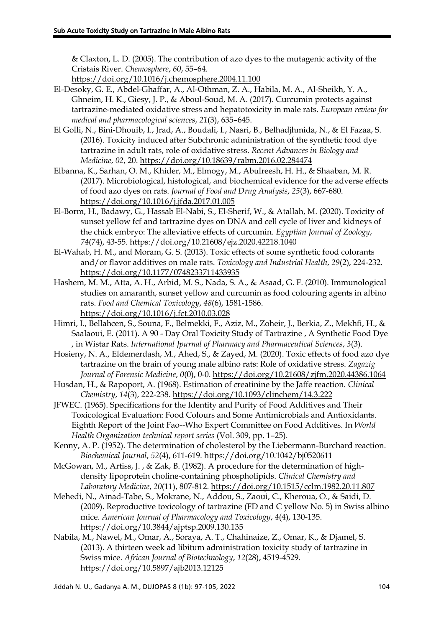& Claxton, L. D. (2005). The contribution of azo dyes to the mutagenic activity of the Cristais River. *Chemosphere*, *60*, 55–64.

<https://doi.org/10.1016/j.chemosphere.2004.11.100>

- El-Desoky, G. E., Abdel-Ghaffar, A., Al-Othman, Z. A., Habila, M. A., Al-Sheikh, Y. A., Ghneim, H. K., Giesy, J. P., & Aboul-Soud, M. A. (2017). Curcumin protects against tartrazine-mediated oxidative stress and hepatotoxicity in male rats. *European review for medical and pharmacological sciences*, *21*(3), 635–645.
- El Golli, N., Bini-Dhouib, I., Jrad, A., Boudali, I., Nasri, B., Belhadjhmida, N., & El Fazaa, S. (2016). Toxicity induced after Subchronic administration of the synthetic food dye tartrazine in adult rats, role of oxidative stress. *Recent Advances in Biology and Medicine*, *02*, 20[. https://doi.org/10.18639/rabm.2016.02.284474](https://doi.org/10.18639/rabm.2016.02.284474)
- Elbanna, K., Sarhan, O. M., Khider, M., Elmogy, M., Abulreesh, H. H., & Shaaban, M. R. (2017). Microbiological, histological, and biochemical evidence for the adverse effects of food azo dyes on rats. *Journal of Food and Drug Analysis*, *25*(3), 667-680. <https://doi.org/10.1016/j.jfda.2017.01.005>
- El-Borm, H., Badawy, G., Hassab El-Nabi, S., El-Sherif, W., & Atallah, M. (2020). Toxicity of sunset yellow fcf and tartrazine dyes on DNA and cell cycle of liver and kidneys of the chick embryo: The alleviative effects of curcumin. *Egyptian Journal of Zoology*, *74*(74), 43-55.<https://doi.org/10.21608/ejz.2020.42218.1040>
- El-Wahab, H. M., and Moram, G. S. (2013). Toxic effects of some synthetic food colorants and/or flavor additives on male rats. *Toxicology and Industrial Health*, *29*(2), 224-232. <https://doi.org/10.1177/0748233711433935>
- Hashem, M. M., Atta, A. H., Arbid, M. S., Nada, S. A., & Asaad, G. F. (2010). Immunological studies on amaranth, sunset yellow and curcumin as food colouring agents in albino rats. *Food and Chemical Toxicology*, *48*(6), 1581-1586. <https://doi.org/10.1016/j.fct.2010.03.028>
- Himri, I., Bellahcen, S., Souna, F., Belmekki, F., Aziz, M., Zoheir, J., Berkia, Z., Mekhfi, H., & Saalaoui, E. (2011). A 90 - Day Oral Toxicity Study of Tartrazine , A Synthetic Food Dye , in Wistar Rats. *International Jpurnal of Pharmacy and Pharmaceutical Sciences*, *3*(3).
- Hosieny, N. A., Eldemerdash, M., Ahed, S., & Zayed, M. (2020). Toxic effects of food azo dye tartrazine on the brain of young male albino rats: Role of oxidative stress. *Zagazig Journal of Forensic Medicine*, *0*(0), 0-0.<https://doi.org/10.21608/zjfm.2020.44386.1064>
- Husdan, H., & Rapoport, A. (1968). Estimation of creatinine by the Jaffe reaction. *Clinical Chemistry*, *14*(3), 222-238.<https://doi.org/10.1093/clinchem/14.3.222>
- JFWEC. (1965). Specifications for the Identity and Purity of Food Additives and Their Toxicological Evaluation: Food Colours and Some Antimicrobials and Antioxidants. Eighth Report of the Joint Fao--Who Expert Committee on Food Additives. In *World Health Organization technical report series* (Vol. 309, pp. 1–25).
- Kenny, A. P. (1952). The determination of cholesterol by the Liebermann-Burchard reaction. *Biochemical Journal*, *52*(4), 611-619[. https://doi.org/10.1042/bj0520611](https://doi.org/10.1042/bj0520611)
- McGowan, M., Artiss, J. , & Zak, B. (1982). A procedure for the determination of highdensity lipoprotein choline-containing phospholipids. *Clinical Chemistry and Laboratory Medicine*, *20*(11), 807-812.<https://doi.org/10.1515/cclm.1982.20.11.807>
- Mehedi, N., Ainad-Tabe, S., Mokrane, N., Addou, S., Zaoui, C., Kheroua, O., & Saidi, D. (2009). Reproductive toxicology of tartrazine (FD and C yellow No. 5) in Swiss albino mice. *American Journal of Pharmacology and Toxicology*, *4*(4), 130-135. <https://doi.org/10.3844/ajptsp.2009.130.135>
- Nabila, M., Nawel, M., Omar, A., Soraya, A. T., Chahinaize, Z., Omar, K., & Djamel, S. (2013). A thirteen week ad libitum administration toxicity study of tartrazine in Swiss mice. *African Journal of Biotechnology*, *12*(28), 4519-4529. <https://doi.org/10.5897/ajb2013.12125>